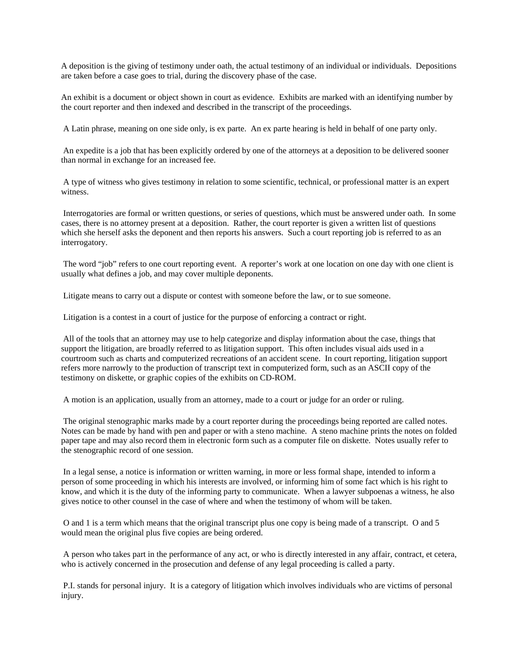A deposition is the giving of testimony under oath, the actual testimony of an individual or individuals. Depositions are taken before a case goes to trial, during the discovery phase of the case.

An exhibit is a document or object shown in court as evidence. Exhibits are marked with an identifying number by the court reporter and then indexed and described in the transcript of the proceedings.

A Latin phrase, meaning on one side only, is ex parte. An ex parte hearing is held in behalf of one party only.

 An expedite is a job that has been explicitly ordered by one of the attorneys at a deposition to be delivered sooner than normal in exchange for an increased fee.

 A type of witness who gives testimony in relation to some scientific, technical, or professional matter is an expert witness.

 Interrogatories are formal or written questions, or series of questions, which must be answered under oath. In some cases, there is no attorney present at a deposition. Rather, the court reporter is given a written list of questions which she herself asks the deponent and then reports his answers. Such a court reporting job is referred to as an interrogatory.

 The word "job" refers to one court reporting event. A reporter's work at one location on one day with one client is usually what defines a job, and may cover multiple deponents.

Litigate means to carry out a dispute or contest with someone before the law, or to sue someone.

Litigation is a contest in a court of justice for the purpose of enforcing a contract or right.

 All of the tools that an attorney may use to help categorize and display information about the case, things that support the litigation, are broadly referred to as litigation support. This often includes visual aids used in a courtroom such as charts and computerized recreations of an accident scene. In court reporting, litigation support refers more narrowly to the production of transcript text in computerized form, such as an ASCII copy of the testimony on diskette, or graphic copies of the exhibits on CD-ROM.

A motion is an application, usually from an attorney, made to a court or judge for an order or ruling.

 The original stenographic marks made by a court reporter during the proceedings being reported are called notes. Notes can be made by hand with pen and paper or with a steno machine. A steno machine prints the notes on folded paper tape and may also record them in electronic form such as a computer file on diskette. Notes usually refer to the stenographic record of one session.

 In a legal sense, a notice is information or written warning, in more or less formal shape, intended to inform a person of some proceeding in which his interests are involved, or informing him of some fact which is his right to know, and which it is the duty of the informing party to communicate. When a lawyer subpoenas a witness, he also gives notice to other counsel in the case of where and when the testimony of whom will be taken.

 O and 1 is a term which means that the original transcript plus one copy is being made of a transcript. O and 5 would mean the original plus five copies are being ordered.

 A person who takes part in the performance of any act, or who is directly interested in any affair, contract, et cetera, who is actively concerned in the prosecution and defense of any legal proceeding is called a party.

 P.I. stands for personal injury. It is a category of litigation which involves individuals who are victims of personal injury.